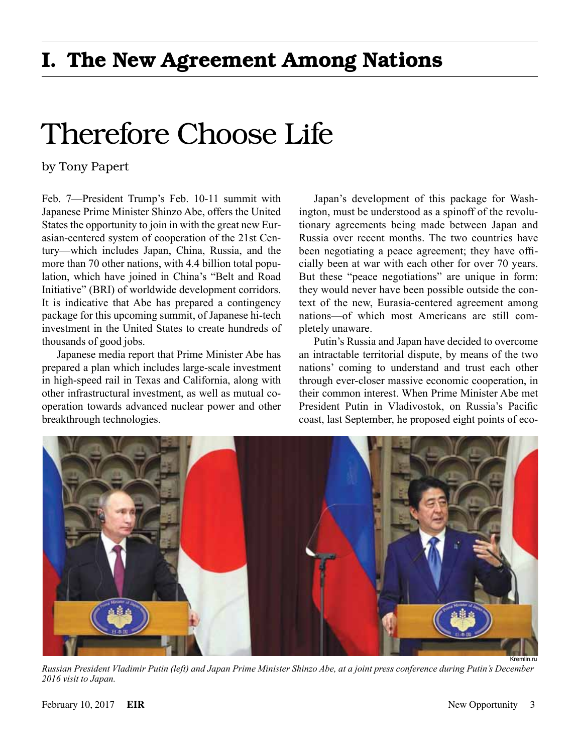## Therefore Choose Life

by Tony Papert

Feb. 7—President Trump's Feb. 10-11 summit with Japanese Prime Minister Shinzo Abe, offers the United States the opportunity to join in with the great new Eurasian-centered system of cooperation of the 21st Century—which includes Japan, China, Russia, and the more than 70 other nations, with 4.4 billion total population, which have joined in China's "Belt and Road Initiative" (BRI) of worldwide development corridors. It is indicative that Abe has prepared a contingency package for this upcoming summit, of Japanese hi-tech investment in the United States to create hundreds of thousands of good jobs.

Japanese media report that Prime Minister Abe has prepared a plan which includes large-scale investment in high-speed rail in Texas and California, along with other infrastructural investment, as well as mutual cooperation towards advanced nuclear power and other breakthrough technologies.

Japan's development of this package for Washington, must be understood as a spinoff of the revolutionary agreements being made between Japan and Russia over recent months. The two countries have been negotiating a peace agreement; they have officially been at war with each other for over 70 years. But these "peace negotiations" are unique in form: they would never have been possible outside the context of the new, Eurasia-centered agreement among nations—of which most Americans are still completely unaware.

Putin's Russia and Japan have decided to overcome an intractable territorial dispute, by means of the two nations' coming to understand and trust each other through ever-closer massive economic cooperation, in their common interest. When Prime Minister Abe met President Putin in Vladivostok, on Russia's Pacific coast, last September, he proposed eight points of eco-



*Russian President Vladimir Putin (left) and Japan Prime Minister Shinzo Abe, at a joint press conference during Putin's December 2016 visit to Japan.*